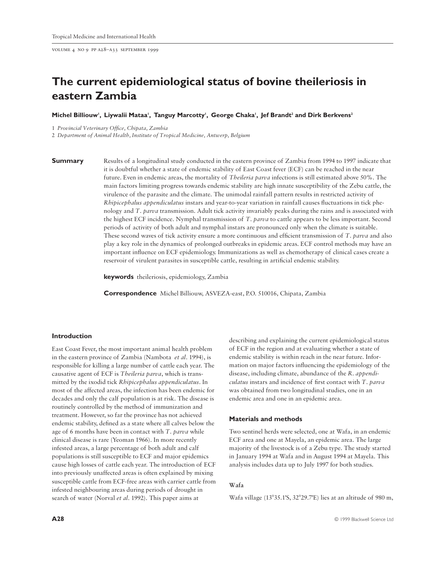volume 4 no 9 pp a28–a33 september 1999

# **The current epidemiological status of bovine theileriosis in eastern Zambia**

**Michel Billiouw1 , Liywalii Mataa1 , Tanguy Marcotty1 , George Chaka1 , Jef Brandt2 and Dirk Berkvens2**

1 *Provincial Veterinary Office, Chipata, Zambia*

2 *Department of Animal Health, Institute of Tropical Medicine, Antwerp, Belgium*

**Summary** Results of a longitudinal study conducted in the eastern province of Zambia from 1994 to 1997 indicate that it is doubtful whether a state of endemic stability of East Coast fever (ECF) can be reached in the near future. Even in endemic areas, the mortality of *Theileria parva* infections is still estimated above 50%. The main factors limiting progress towards endemic stability are high innate susceptibility of the Zebu cattle, the virulence of the parasite and the climate. The unimodal rainfall pattern results in restricted activity of *Rhipicephalus appendiculatus* instars and year-to-year variation in rainfall causes fluctuations in tick phenology and *T. parva* transmission. Adult tick activity invariably peaks during the rains and is associated with the highest ECF incidence. Nymphal transmission of *T. parva* to cattle appears to be less important. Second periods of activity of both adult and nymphal instars are pronounced only when the climate is suitable. These second waves of tick activity ensure a more continuous and efficient transmission of *T. parva* and also play a key role in the dynamics of prolonged outbreaks in epidemic areas. ECF control methods may have an important influence on ECF epidemiology. Immunizations as well as chemotherapy of clinical cases create a reservoir of virulent parasites in susceptible cattle, resulting in artificial endemic stability.

**keywords** theileriosis, epidemiology, Zambia

**Correspondence** Michel Billiouw, ASVEZA-east, P.O. 510016, Chipata, Zambia

# **Introduction**

East Coast Fever, the most important animal health problem in the eastern province of Zambia (Nambota *et al.* 1994), is responsible for killing a large number of cattle each year. The causative agent of ECF is *Theileria parva*, which is transmitted by the ixodid tick *Rhipicephalus appendiculatus.* In most of the affected areas, the infection has been endemic for decades and only the calf population is at risk. The disease is routinely controlled by the method of immunization and treatment. However, so far the province has not achieved endemic stability, defined as a state where all calves below the age of 6 months have been in contact with *T. parva* while clinical disease is rare (Yeoman 1966). In more recently infested areas, a large percentage of both adult and calf populations is still susceptible to ECF and major epidemics cause high losses of cattle each year. The introduction of ECF into previously unaffected areas is often explained by mixing susceptible cattle from ECF-free areas with carrier cattle from infested neighbouring areas during periods of drought in search of water (Norval *et al.* 1992). This paper aims at

describing and explaining the current epidemiological status of ECF in the region and at evaluating whether a state of endemic stability is within reach in the near future. Information on major factors influencing the epidemiology of the disease, including climate, abundance of the *R. appendiculatus* instars and incidence of first contact with *T. parva* was obtained from two longitudinal studies, one in an endemic area and one in an epidemic area.

## **Materials and methods**

Two sentinel herds were selected, one at Wafa, in an endemic ECF area and one at Mayela, an epidemic area. The large majority of the livestock is of a Zebu type. The study started in January 1994 at Wafa and in August 1994 at Mayela. This analysis includes data up to July 1997 for both studies.

# **Wafa**

Wafa village (13°35.1'S, 32°29.7'E) lies at an altitude of 980 m,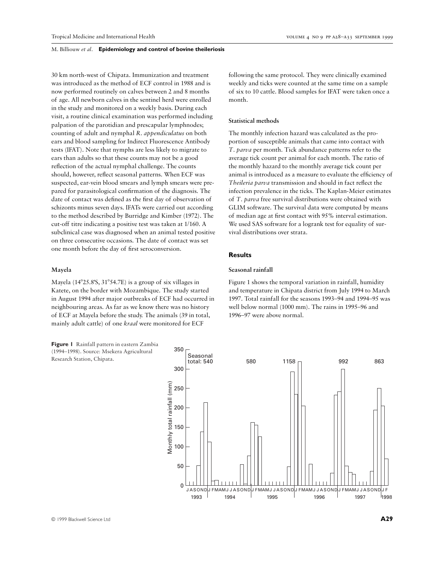30 km north-west of Chipata. Immunization and treatment was introduced as the method of ECF control in 1988 and is now performed routinely on calves between 2 and 8 months of age. All newborn calves in the sentinel herd were enrolled in the study and monitored on a weekly basis. During each visit, a routine clinical examination was performed including palpation of the parotidian and prescapular lymphnodes; counting of adult and nymphal *R. appendiculatus* on both ears and blood sampling for Indirect Fluorescence Antibody tests (IFAT). Note that nymphs are less likely to migrate to ears than adults so that these counts may not be a good reflection of the actual nymphal challenge. The counts should, however, reflect seasonal patterns. When ECF was suspected, ear-vein blood smears and lymph smears were prepared for parasitological confirmation of the diagnosis. The date of contact was defined as the first day of observation of schizonts minus seven days. IFATs were carried out according to the method described by Burridge and Kimber (1972). The cut-off titre indicating a positive test was taken at 1/160. A subclinical case was diagnosed when an animal tested positive on three consecutive occasions. The date of contact was set one month before the day of first seroconversion.

#### **Mayela**

Mayela  $(14^{\circ}25.8^{\circ}S, 31^{\circ}54.7E)$  is a group of six villages in Katete, on the border with Mozambique. The study started in August 1994 after major outbreaks of ECF had occurred in neighbouring areas. As far as we know there was no history of ECF at Mayela before the study. The animals (39 in total, mainly adult cattle) of one *kraal* were monitored for ECF

**Figure 1** Rainfall pattern in eastern Zambia (1994–1998). Source: Msekera Agricultural Research Station, Chipata.

following the same protocol. They were clinically examined weekly and ticks were counted at the same time on a sample of six to 10 cattle. Blood samples for IFAT were taken once a month.

#### **Statistical methods**

The monthly infection hazard was calculated as the proportion of susceptible animals that came into contact with *T. parva* per month. Tick abundance patterns refer to the average tick count per animal for each month. The ratio of the monthly hazard to the monthly average tick count per animal is introduced as a measure to evaluate the efficiency of *Theileria parva* transmission and should in fact reflect the infection prevalence in the ticks. The Kaplan-Meier estimates of *T. parva* free survival distributions were obtained with GLIM software. The survival data were computed by means of median age at first contact with 95% interval estimation. We used SAS software for a logrank test for equality of survival distributions over strata.

# **Results**

### **Seasonal rainfall**

Figure 1 shows the temporal variation in rainfall, humidity and temperature in Chipata district from July 1994 to March 1997. Total rainfall for the seasons 1993–94 and 1994–95 was well below normal (1000 mm). The rains in 1995–96 and 1996–97 were above normal.

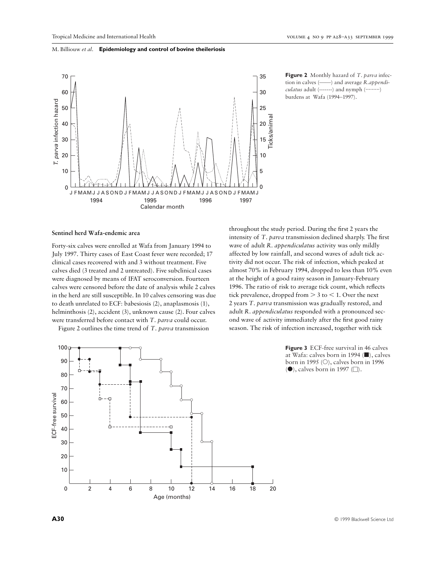



#### **Sentinel herd Wafa-endemic area**

Forty-six calves were enrolled at Wafa from January 1994 to July 1997. Thirty cases of East Coast fever were recorded; 17 clinical cases recovered with and 3 without treatment. Five calves died (3 treated and 2 untreated). Five subclinical cases were diagnosed by means of IFAT seroconversion. Fourteen calves were censored before the date of analysis while 2 calves in the herd are still susceptible. In 10 calves censoring was due to death unrelated to ECF: babesiosis (2), anaplasmosis (1), helminthosis (2), accident (3), unknown cause (2). Four calves were transferred before contact with *T. parva* could occur.

Figure 2 outlines the time trend of *T. parva* transmission

throughout the study period. During the first 2 years the intensity of *T. parva* transmission declined sharply. The first wave of adult *R. appendiculatus* activity was only mildly affected by low rainfall, and second waves of adult tick activity did not occur. The risk of infection, which peaked at almost 70% in February 1994, dropped to less than 10% even at the height of a good rainy season in January-February 1996. The ratio of risk to average tick count, which reflects tick prevalence, dropped from  $> 3$  to  $< 1$ . Over the next 2 years *T. parva* transmission was gradually restored, and adult *R. appendiculatus* responded with a pronounced second wave of activity immediately after the first good rainy season. The risk of infection increased, together with tick



**Figure 3** ECF-free survival in 46 calves at Wafa: calves born in 1994 ( $\blacksquare$ ), calves born in 1995 (O), calves born in 1996  $\langle \bullet \rangle$ , calves born in 1997 ( $\square$ ).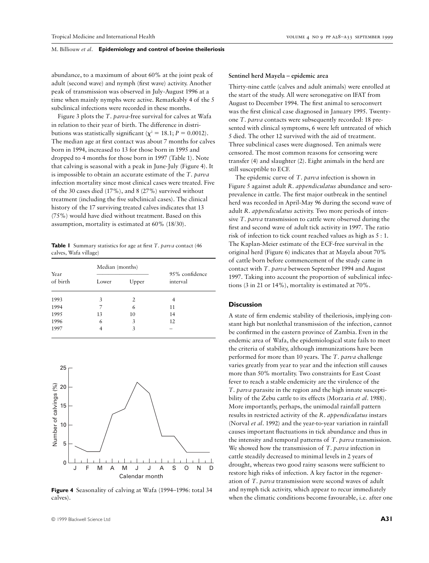abundance, to a maximum of about 60% at the joint peak of adult (second wave) and nymph (first wave) activity. Another peak of transmission was observed in July-August 1996 at a time when mainly nymphs were active. Remarkably 4 of the 5 subclinical infections were recorded in these months.

Figure 3 plots the *T. parva*-free survival for calves at Wafa in relation to their year of birth. The difference in distributions was statistically significant ( $\chi^2 = 18.1$ ;  $P = 0.0012$ ). The median age at first contact was about 7 months for calves born in 1994, increased to 13 for those born in 1995 and dropped to 4 months for those born in 1997 (Table 1). Note that calving is seasonal with a peak in June-July (Figure 4). It is impossible to obtain an accurate estimate of the *T. parva* infection mortality since most clinical cases were treated. Five of the 30 cases died (17%), and 8 (27%) survived without treatment (including the five subclinical cases). The clinical history of the 17 surviving treated calves indicates that 13 (75%) would have died without treatment. Based on this assumption, mortality is estimated at 60% (18/30).

**Table 1** Summary statistics for age at first *T. parva* contact (46 calves, Wafa village)

| Year<br>of birth | Median (months) |               |                            |
|------------------|-----------------|---------------|----------------------------|
|                  | Lower           | Upper         | 95% confidence<br>interval |
| 1993             | 3               | $\mathcal{L}$ |                            |
| 1994             | 7               | 6             | 11                         |
| 1995             | 13              | 10            | 14                         |
| 1996             | 6               | 3             | 12                         |
| 1997             |                 | 3             |                            |



**Figure 4** Seasonality of calving at Wafa (1994–1996: total 34 calves).

#### **Sentinel herd Mayela – epidemic area**

Thirty-nine cattle (calves and adult animals) were enrolled at the start of the study. All were seronegative on IFAT from August to December 1994. The first animal to seroconvert was the first clinical case diagnosed in January 1995. Twentyone *T. parva* contacts were subsequently recorded: 18 presented with clinical symptoms, 6 were left untreated of which 5 died. The other 12 survived with the aid of treatment. Three subclinical cases were diagnosed. Ten animals were censored. The most common reasons for censoring were transfer (4) and slaughter (2). Eight animals in the herd are still susceptible to ECF.

The epidemic curve of *T. parva* infection is shown in Figure 5 against adult *R. appendiculatus* abundance and seroprevalence in cattle. The first major outbreak in the sentinel herd was recorded in April-May 96 during the second wave of adult *R. appendiculatus* activity. Two more periods of intensive *T. parva* transmission to cattle were observed during the first and second wave of adult tick activity in 1997. The ratio risk of infection to tick count reached values as high as 5 : 1. The Kaplan-Meier estimate of the ECF-free survival in the original herd (Figure 6) indicates that at Mayela about 70% of cattle born before commencement of the study came in contact with *T. parva* between September 1994 and August 1997. Taking into account the proportion of subclinical infections (3 in 21 or 14%), mortality is estimated at 70%.

# **Discussion**

A state of firm endemic stability of theileriosis, implying constant high but nonlethal transmission of the infection, cannot be confirmed in the eastern province of Zambia. Even in the endemic area of Wafa, the epidemiological state fails to meet the criteria of stability, although immunizations have been performed for more than 10 years. The *T. parva* challenge varies greatly from year to year and the infection still causes more than 50% mortality. Two constraints for East Coast fever to reach a stable endemicity are the virulence of the *T. parva* parasite in the region and the high innate susceptibility of the Zebu cattle to its effects (Morzaria *et al.* 1988). More importantly, perhaps, the unimodal rainfall pattern results in restricted activity of the *R. appendiculatus* instars (Norval *et al.* 1992) and the year-to-year variation in rainfall causes important fluctuations in tick abundance and thus in the intensity and temporal patterns of *T. parva* transmission. We showed how the transmission of *T. parva* infection in cattle steadily decreased to minimal levels in 2 years of drought, whereas two good rainy seasons were sufficient to restore high risks of infection. A key factor in the regeneration of *T. parva* transmission were second waves of adult and nymph tick activity, which appear to recur immediately when the climatic conditions become favourable, i.e. after one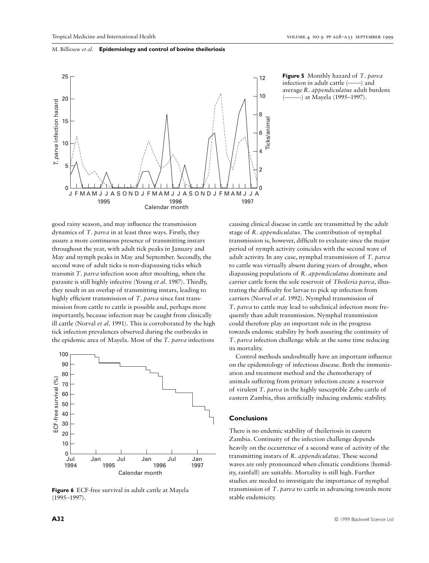

**Figure 5** Monthly hazard of *T. parva* infection in adult cattle (——) and average *R. appendiculatus* adult burdens (--------) at Mayela (1995–1997).

good rainy season, and may influence the transmission dynamics of *T. parva* in at least three ways. Firstly, they assure a more continuous presence of transmitting instars throughout the year, with adult tick peaks in January and May and nymph peaks in May and September. Secondly, the second wave of adult ticks is non-diapausing ticks which transmit *T. parva* infection soon after moulting, when the parasite is still highly infective (Young *et al.* 1987). Thirdly, they result in an overlap of transmitting instars, leading to highly efficient transmission of *T. parva* since fast transmission from cattle to cattle is possible and, perhaps more importantly, because infection may be caught from clinically ill cattle (Norval *et al.* 1991). This is corroborated by the high tick infection prevalences observed during the outbreaks in the epidemic area of Mayela. Most of the *T. parva* infections



**Figure 6** ECF-free survival in adult cattle at Mayela (1995–1997).

causing clinical disease in cattle are transmitted by the adult stage of *R. appendiculatus*. The contribution of nymphal transmission is, however, difficult to evaluate since the major period of nymph activity coincides with the second wave of adult activity. In any case, nymphal transmission of *T. parva* to cattle was virtually absent during years of drought, when diapausing populations of *R. appendiculatus* dominate and carrier cattle form the sole reservoir of *Theileria parva*, illustrating the difficulty for larvae to pick up infection from carriers (Norval *et al.* 1992). Nymphal transmission of *T. parva* to cattle may lead to subclinical infection more frequently than adult transmission. Nymphal transmission could therefore play an important role in the progress towards endemic stability by both assuring the continuity of *T. parva* infection challenge while at the same time reducing its mortality.

Control methods undoubtedly have an important influence on the epidemiology of infectious disease. Both the immunization and treatment method and the chemotherapy of animals suffering from primary infection create a reservoir of virulent *T. parva* in the highly susceptible Zebu cattle of eastern Zambia, thus artificially inducing endemic stability.

## **Conclusions**

There is no endemic stability of theileriosis in eastern Zambia. Continuity of the infection challenge depends heavily on the occurrence of a second wave of activity of the transmitting instars of *R. appendiculatus*. These second waves are only pronounced when climatic conditions (humidity, rainfall) are suitable. Mortality is still high. Further studies are needed to investigate the importance of nymphal transmission of *T. parva* to cattle in advancing towards more stable endemicity.